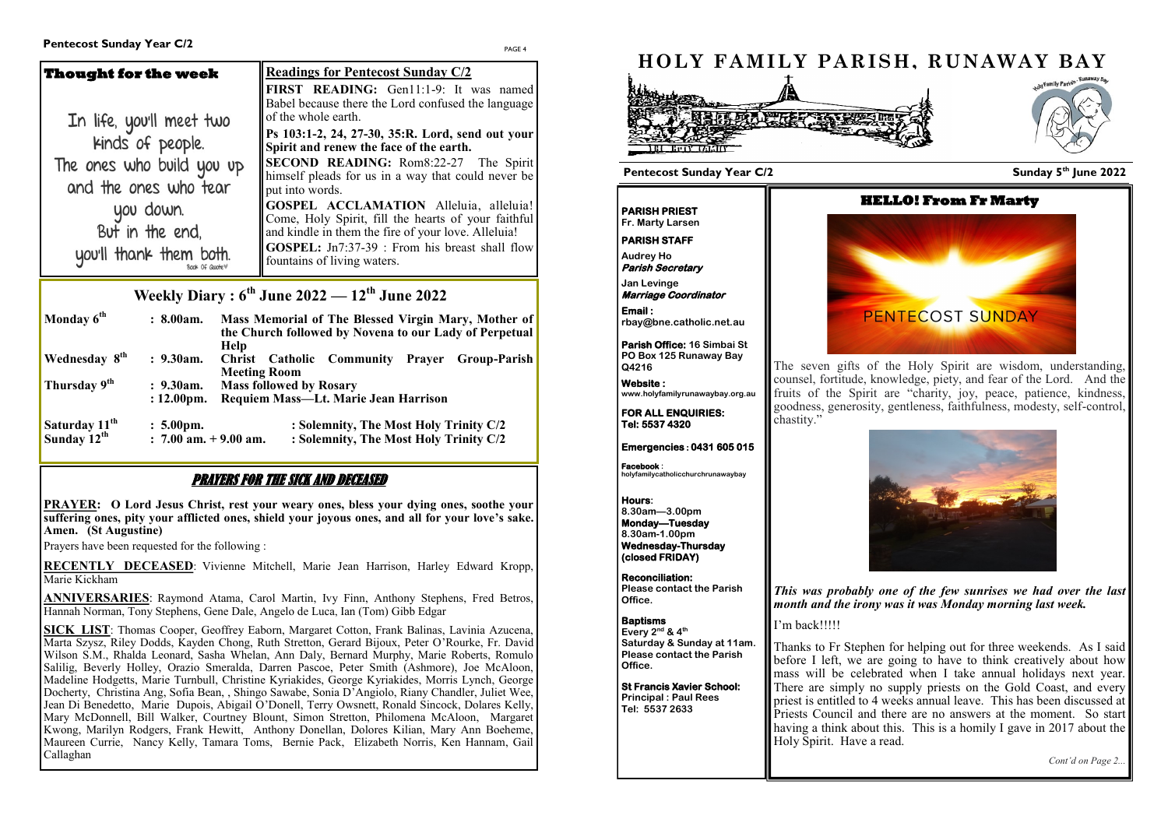PAGE 4

## **Weekly Diary : 6th June 2022 — 12th June 2022**

| Monday $6th$                                         | : 8.00am.                                       | Mass Memorial of The Blessed Virgin Mary, Mother of<br>the Church followed by Novena to our Lady of Perpetual<br><b>Help</b> |  |  |  |
|------------------------------------------------------|-------------------------------------------------|------------------------------------------------------------------------------------------------------------------------------|--|--|--|
| Wednesday 8 <sup>th</sup>                            | : 9.30am.                                       | <b>Christ</b><br>Prayer<br><b>Community</b><br><b>Catholic</b><br><b>Group-Parish</b><br><b>Meeting Room</b>                 |  |  |  |
| Thursday 9 <sup>th</sup>                             | $: 9.30$ am.                                    | <b>Mass followed by Rosary</b><br><b>Requiem Mass—Lt. Marie Jean Harrison</b>                                                |  |  |  |
|                                                      | $: 12.00 \text{pm}.$                            |                                                                                                                              |  |  |  |
| Saturday 11 <sup>th</sup><br>Sunday 12 <sup>th</sup> | $: 5.00 \text{pm}.$<br>$: 7.00$ am. $+9.00$ am. | : Solemnity, The Most Holy Trinity C/2<br>: Solemnity, The Most Holy Trinity C/2                                             |  |  |  |

### PRAYERS FOR THE SICK AND DECEASED

**PRAYER: O Lord Jesus Christ, rest your weary ones, bless your dying ones, soothe your suffering ones, pity your afflicted ones, shield your joyous ones, and all for your love's sake. Amen. (St Augustine)** 

Prayers have been requested for the following :

**RECENTLY DECEASED**: Vivienne Mitchell, Marie Jean Harrison, Harley Edward Kropp, Marie Kickham

**ANNIVERSARIES**: Raymond Atama, Carol Martin, Ivy Finn, Anthony Stephens, Fred Betros, Hannah Norman, Tony Stephens, Gene Dale, Angelo de Luca, Ian (Tom) Gibb Edgar

**SICK LIST**: Thomas Cooper, Geoffrey Eaborn, Margaret Cotton, Frank Balinas, Lavinia Azucena, Marta Szysz, Riley Dodds, Kayden Chong, Ruth Stretton, Gerard Bijoux, Peter O'Rourke, Fr. David Wilson S.M., Rhalda Leonard, Sasha Whelan, Ann Daly, Bernard Murphy, Marie Roberts, Romulo Salilig, Beverly Holley, Orazio Smeralda, Darren Pascoe, Peter Smith (Ashmore), Joe McAloon, Madeline Hodgetts, Marie Turnbull, Christine Kyriakides, George Kyriakides, Morris Lynch, George Docherty, Christina Ang, Sofia Bean, , Shingo Sawabe, Sonia D'Angiolo, Riany Chandler, Juliet Wee, Jean Di Benedetto, Marie Dupois, Abigail O'Donell, Terry Owsnett, Ronald Sincock, Dolares Kelly, Mary McDonnell, Bill Walker, Courtney Blount, Simon Stretton, Philomena McAloon, Margaret Kwong, Marilyn Rodgers, Frank Hewitt, Anthony Donellan, Dolores Kilian, Mary Ann Boeheme, Maureen Currie, Nancy Kelly, Tamara Toms, Bernie Pack, Elizabeth Norris, Ken Hannam, Gail Callaghan

The seven gifts of the Holy Spirit are wisdom, understanding. counsel, fortitude, knowledge, piety, and fear of the Lord. And the fruits of the Spirit are "charity, joy, peace, patience, kindness, goodness, generosity, gentleness, faithfulness, modesty, self-control,

| <b>Thought for the week</b>                                                                                   | <b>Readings for Pentecost Sunday C/2</b>                                                                                                                                                                                                                                                                                                                       |  |  |  |  |
|---------------------------------------------------------------------------------------------------------------|----------------------------------------------------------------------------------------------------------------------------------------------------------------------------------------------------------------------------------------------------------------------------------------------------------------------------------------------------------------|--|--|--|--|
| In life, you'll meet two                                                                                      | FIRST READING: Gen11:1-9: It was named<br>Babel because there the Lord confused the language<br>of the whole earth.                                                                                                                                                                                                                                            |  |  |  |  |
| kinds of people.                                                                                              | Ps 103:1-2, 24, 27-30, 35:R. Lord, send out your<br>Spirit and renew the face of the earth.                                                                                                                                                                                                                                                                    |  |  |  |  |
| The ones who build you up<br>and the ones who tear<br>you down.<br>But in the end,<br>you'll thank them both. | SECOND READING: Rom8:22-27 The Spirit<br>himself pleads for us in a way that could never be<br>put into words.<br>GOSPEL ACCLAMATION Alleluia, alleluia!<br>Come, Holy Spirit, fill the hearts of your faithful<br>and kindle in them the fire of your love. Alleluia!<br><b>GOSPEL:</b> Jn7:37-39 : From his breast shall flow<br>fountains of living waters. |  |  |  |  |
| Weekly Diary: $6^{th}$ June 2022 — $12^{th}$ June 2022                                                        |                                                                                                                                                                                                                                                                                                                                                                |  |  |  |  |



#### **Sunday 5 th June 2022**

**PARISH PRIEST Fr. Marty Larsen**

**PARISH STAFF** 

**Audrey Ho Parish Secretary** 

**Jan Levinge Marriage Coordinator** 

**Email : rbay@bne.catholic.net.au**

**Parish Office: 16 Simbai St PO Box 125 Runaway Bay Q4216**

**Website : www.holyfamilyrunawaybay.org.au** 

**FOR ALL ENQUIRIES: Tel: 5537 4320** 

**Emergencies : 0431 605 015** 

**Facebook : holyfamilycatholicchurchrunawaybay**

**Hours: 8.30am—3.00pm Monday—Tuesday 8.30am-1.00pm Wednesday-Thursday (closed FRIDAY)** 

**Reconciliation: Please contact the Parish Office.**

**Baptisms Every 2nd & 4th Saturday & Sunday at 11am. Please contact the Parish Office.**

**St Francis Xavier School: Principal : Paul Rees Tel: 5537 2633** 





#### **Pentecost Sunday Year C/2**

# **HELLO! From Fr Marty**

chastity."

*This was probably one of the few sunrises we had over the last month and the irony was it was Monday morning last week.* 

I'm back!!!!!

Thanks to Fr Stephen for helping out for three weekends. As I said before I left, we are going to have to think creatively about how mass will be celebrated when I take annual holidays next year. There are simply no supply priests on the Gold Coast, and every priest is entitled to 4 weeks annual leave. This has been discussed at Priests Council and there are no answers at the moment. So start having a think about this. This is a homily I gave in 2017 about the Holy Spirit. Have a read.

*Cont'd on Page 2...*